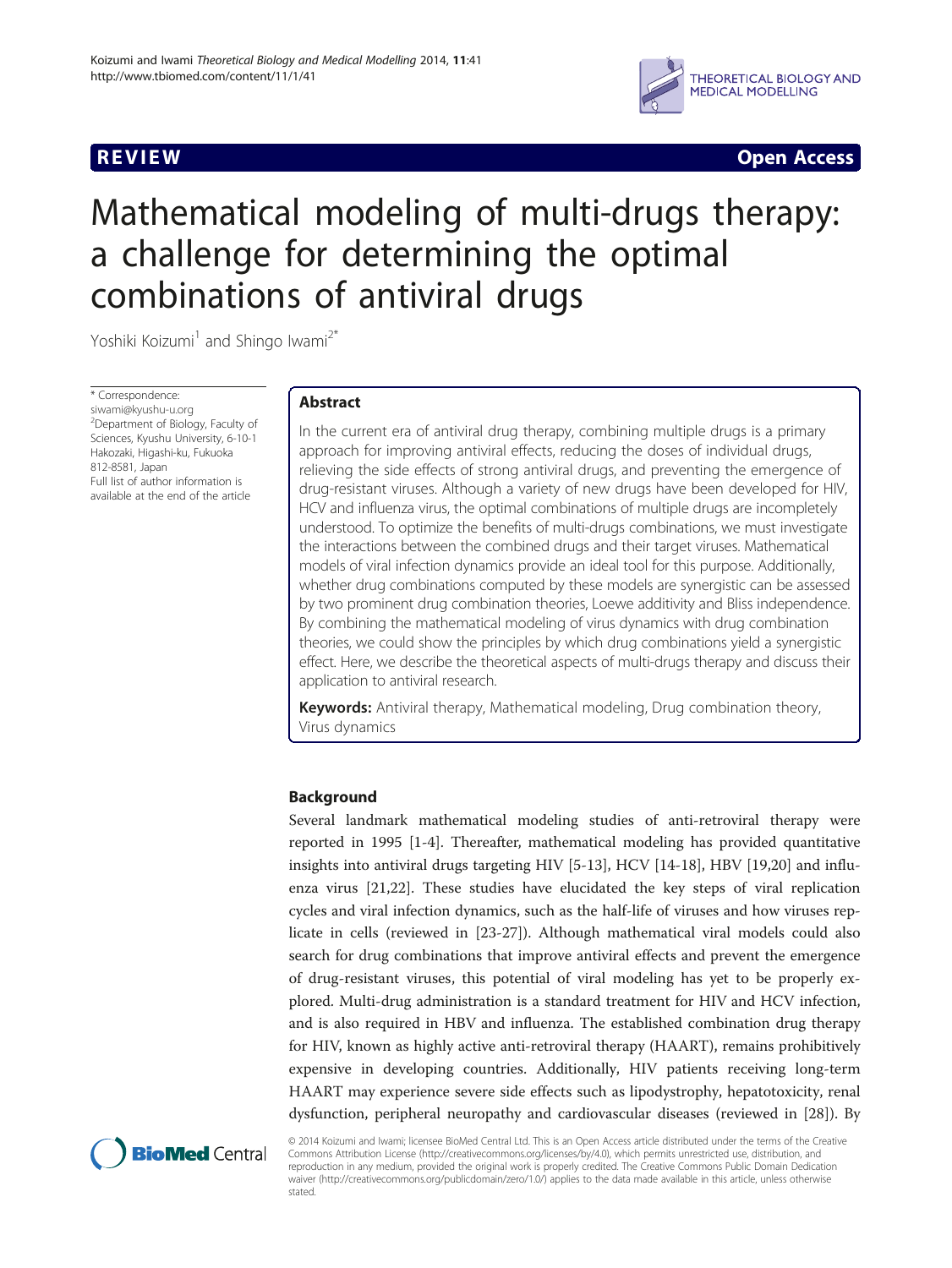

**REVIEW REVIEW CONSTRUCTER ACCESS** 

# Mathematical modeling of multi-drugs therapy: a challenge for determining the optimal combinations of antiviral drugs

Yoshiki Koizumi<sup>1</sup> and Shingo Iwami<sup>2\*</sup>

\* Correspondence: [siwami@kyushu-u.org](mailto:siwami@kyushu-u.org) <sup>2</sup>Department of Biology, Faculty of Sciences, Kyushu University, 6-10-1 Hakozaki, Higashi-ku, Fukuoka 812-8581, Japan Full list of author information is available at the end of the article

# Abstract

In the current era of antiviral drug therapy, combining multiple drugs is a primary approach for improving antiviral effects, reducing the doses of individual drugs, relieving the side effects of strong antiviral drugs, and preventing the emergence of drug-resistant viruses. Although a variety of new drugs have been developed for HIV, HCV and influenza virus, the optimal combinations of multiple drugs are incompletely understood. To optimize the benefits of multi-drugs combinations, we must investigate the interactions between the combined drugs and their target viruses. Mathematical models of viral infection dynamics provide an ideal tool for this purpose. Additionally, whether drug combinations computed by these models are synergistic can be assessed by two prominent drug combination theories, Loewe additivity and Bliss independence. By combining the mathematical modeling of virus dynamics with drug combination theories, we could show the principles by which drug combinations yield a synergistic effect. Here, we describe the theoretical aspects of multi-drugs therapy and discuss their application to antiviral research.

Keywords: Antiviral therapy, Mathematical modeling, Drug combination theory, Virus dynamics

# Background

Several landmark mathematical modeling studies of anti-retroviral therapy were reported in 1995 [\[1](#page-7-0)-[4\]](#page-7-0). Thereafter, mathematical modeling has provided quantitative insights into antiviral drugs targeting HIV [[5-13](#page-7-0)], HCV [[14-18\]](#page-7-0), HBV [\[19,20](#page-7-0)] and influenza virus [\[21,22](#page-7-0)]. These studies have elucidated the key steps of viral replication cycles and viral infection dynamics, such as the half-life of viruses and how viruses replicate in cells (reviewed in [[23-](#page-7-0)[27](#page-8-0)]). Although mathematical viral models could also search for drug combinations that improve antiviral effects and prevent the emergence of drug-resistant viruses, this potential of viral modeling has yet to be properly explored. Multi-drug administration is a standard treatment for HIV and HCV infection, and is also required in HBV and influenza. The established combination drug therapy for HIV, known as highly active anti-retroviral therapy (HAART), remains prohibitively expensive in developing countries. Additionally, HIV patients receiving long-term HAART may experience severe side effects such as lipodystrophy, hepatotoxicity, renal dysfunction, peripheral neuropathy and cardiovascular diseases (reviewed in [\[28\]](#page-8-0)). By



© 2014 Koizumi and Iwami; licensee BioMed Central Ltd. This is an Open Access article distributed under the terms of the Creative Commons Attribution License [\(http://creativecommons.org/licenses/by/4.0\)](http://creativecommons.org/licenses/by/4.0), which permits unrestricted use, distribution, and reproduction in any medium, provided the original work is properly credited. The Creative Commons Public Domain Dedication waiver [\(http://creativecommons.org/publicdomain/zero/1.0/\)](http://creativecommons.org/publicdomain/zero/1.0/) applies to the data made available in this article, unless otherwise stated.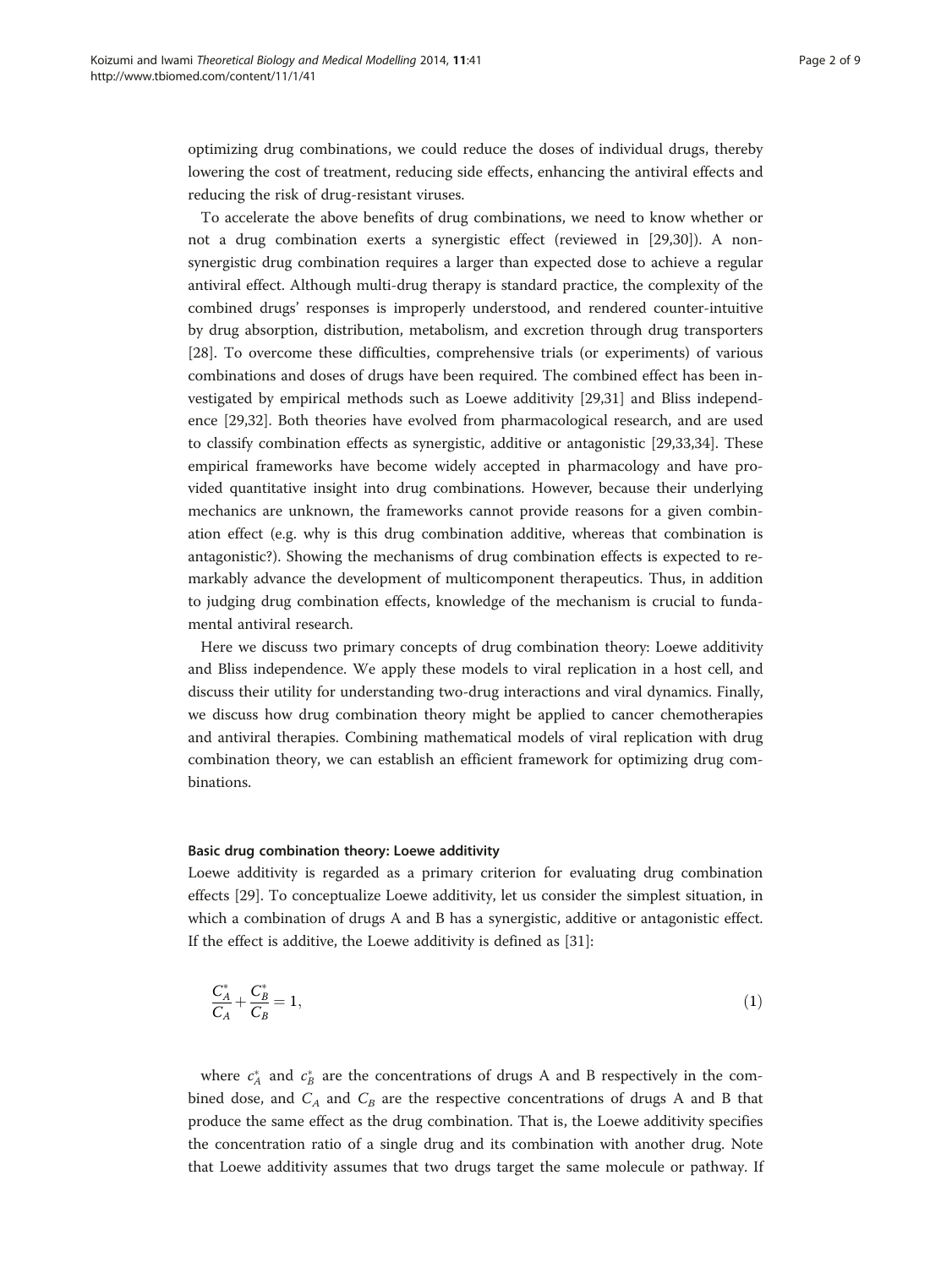<span id="page-1-0"></span>optimizing drug combinations, we could reduce the doses of individual drugs, thereby lowering the cost of treatment, reducing side effects, enhancing the antiviral effects and reducing the risk of drug-resistant viruses.

To accelerate the above benefits of drug combinations, we need to know whether or not a drug combination exerts a synergistic effect (reviewed in [\[29,30\]](#page-8-0)). A nonsynergistic drug combination requires a larger than expected dose to achieve a regular antiviral effect. Although multi-drug therapy is standard practice, the complexity of the combined drugs' responses is improperly understood, and rendered counter-intuitive by drug absorption, distribution, metabolism, and excretion through drug transporters [[28\]](#page-8-0). To overcome these difficulties, comprehensive trials (or experiments) of various combinations and doses of drugs have been required. The combined effect has been investigated by empirical methods such as Loewe additivity [\[29,31\]](#page-8-0) and Bliss independence [\[29,32\]](#page-8-0). Both theories have evolved from pharmacological research, and are used to classify combination effects as synergistic, additive or antagonistic [[29](#page-8-0),[33](#page-8-0),[34](#page-8-0)]. These empirical frameworks have become widely accepted in pharmacology and have provided quantitative insight into drug combinations. However, because their underlying mechanics are unknown, the frameworks cannot provide reasons for a given combination effect (e.g. why is this drug combination additive, whereas that combination is antagonistic?). Showing the mechanisms of drug combination effects is expected to remarkably advance the development of multicomponent therapeutics. Thus, in addition to judging drug combination effects, knowledge of the mechanism is crucial to fundamental antiviral research.

Here we discuss two primary concepts of drug combination theory: Loewe additivity and Bliss independence. We apply these models to viral replication in a host cell, and discuss their utility for understanding two-drug interactions and viral dynamics. Finally, we discuss how drug combination theory might be applied to cancer chemotherapies and antiviral therapies. Combining mathematical models of viral replication with drug combination theory, we can establish an efficient framework for optimizing drug combinations.

# Basic drug combination theory: Loewe additivity

Loewe additivity is regarded as a primary criterion for evaluating drug combination effects [[29\]](#page-8-0). To conceptualize Loewe additivity, let us consider the simplest situation, in which a combination of drugs A and B has a synergistic, additive or antagonistic effect. If the effect is additive, the Loewe additivity is defined as [\[31](#page-8-0)]:

$$
\frac{C_A^*}{C_A} + \frac{C_B^*}{C_B} = 1,\tag{1}
$$

where  $c_A^*$  and  $c_B^*$  are the concentrations of drugs A and B respectively in the combined dose, and  $C_A$  and  $C_B$  are the respective concentrations of drugs A and B that produce the same effect as the drug combination. That is, the Loewe additivity specifies the concentration ratio of a single drug and its combination with another drug. Note that Loewe additivity assumes that two drugs target the same molecule or pathway. If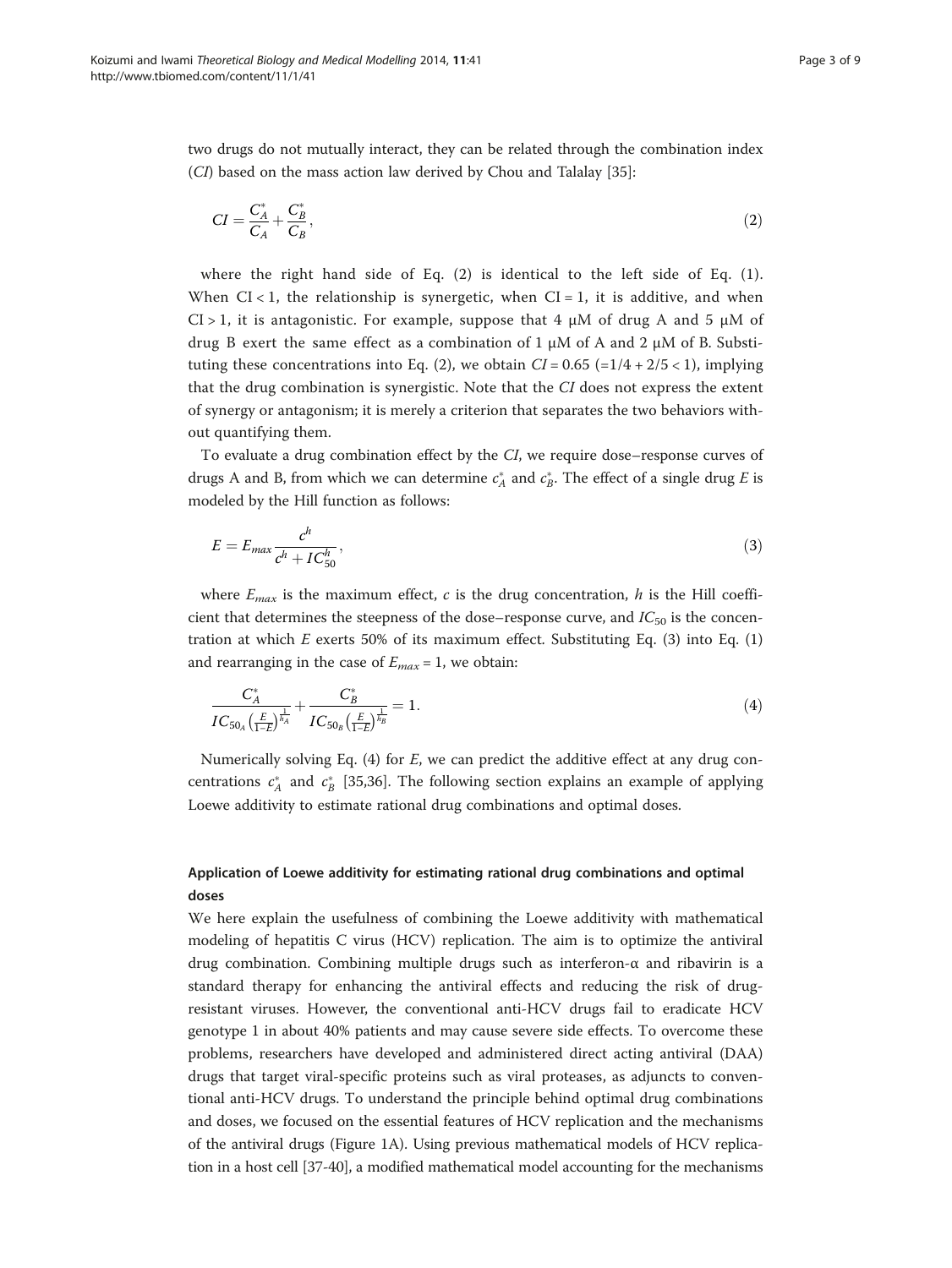<span id="page-2-0"></span>two drugs do not mutually interact, they can be related through the combination index (CI) based on the mass action law derived by Chou and Talalay [[35\]](#page-8-0):

$$
CI = \frac{C_A^*}{C_A} + \frac{C_B^*}{C_B},\tag{2}
$$

where the right hand side of Eq. (2) is identical to the left side of Eq. ([1](#page-1-0)). When  $CI < 1$ , the relationship is synergetic, when  $CI = 1$ , it is additive, and when  $CI > 1$ , it is antagonistic. For example, suppose that 4  $\mu$ M of drug A and 5  $\mu$ M of drug B exert the same effect as a combination of 1  $\mu$ M of A and 2  $\mu$ M of B. Substituting these concentrations into Eq. (2), we obtain  $CI = 0.65$  (=1/4 + 2/5 < 1), implying that the drug combination is synergistic. Note that the CI does not express the extent of synergy or antagonism; it is merely a criterion that separates the two behaviors without quantifying them.

To evaluate a drug combination effect by the CI, we require dose–response curves of drugs A and B, from which we can determine  $c_A^*$  and  $c_B^*$ . The effect of a single drug E is modeled by the Hill function as follows:

$$
E = E_{max} \frac{c^h}{c^h + IC_{50}^h},\tag{3}
$$

where  $E_{max}$  is the maximum effect, c is the drug concentration, h is the Hill coefficient that determines the steepness of the dose–response curve, and  $IC_{50}$  is the concentration at which  $E$  exerts 50% of its maximum effect. Substituting Eq. (3) into Eq. ([1](#page-1-0)) and rearranging in the case of  $E_{max} = 1$ , we obtain:

$$
\frac{C_A^*}{IC_{50_A} \left(\frac{E}{1-E}\right)^{\frac{1}{n_A}}} + \frac{C_B^*}{IC_{50_B} \left(\frac{E}{1-E}\right)^{\frac{1}{n_B}}} = 1. \tag{4}
$$

Numerically solving Eq.  $(4)$  for E, we can predict the additive effect at any drug concentrations  $c_A^*$  and  $c_B^*$  [[35,36\]](#page-8-0). The following section explains an example of applying Loewe additivity to estimate rational drug combinations and optimal doses.

# Application of Loewe additivity for estimating rational drug combinations and optimal doses

We here explain the usefulness of combining the Loewe additivity with mathematical modeling of hepatitis C virus (HCV) replication. The aim is to optimize the antiviral drug combination. Combining multiple drugs such as interferon-α and ribavirin is a standard therapy for enhancing the antiviral effects and reducing the risk of drugresistant viruses. However, the conventional anti-HCV drugs fail to eradicate HCV genotype 1 in about 40% patients and may cause severe side effects. To overcome these problems, researchers have developed and administered direct acting antiviral (DAA) drugs that target viral-specific proteins such as viral proteases, as adjuncts to conventional anti-HCV drugs. To understand the principle behind optimal drug combinations and doses, we focused on the essential features of HCV replication and the mechanisms of the antiviral drugs (Figure [1](#page-3-0)A). Using previous mathematical models of HCV replication in a host cell [\[37-40](#page-8-0)], a modified mathematical model accounting for the mechanisms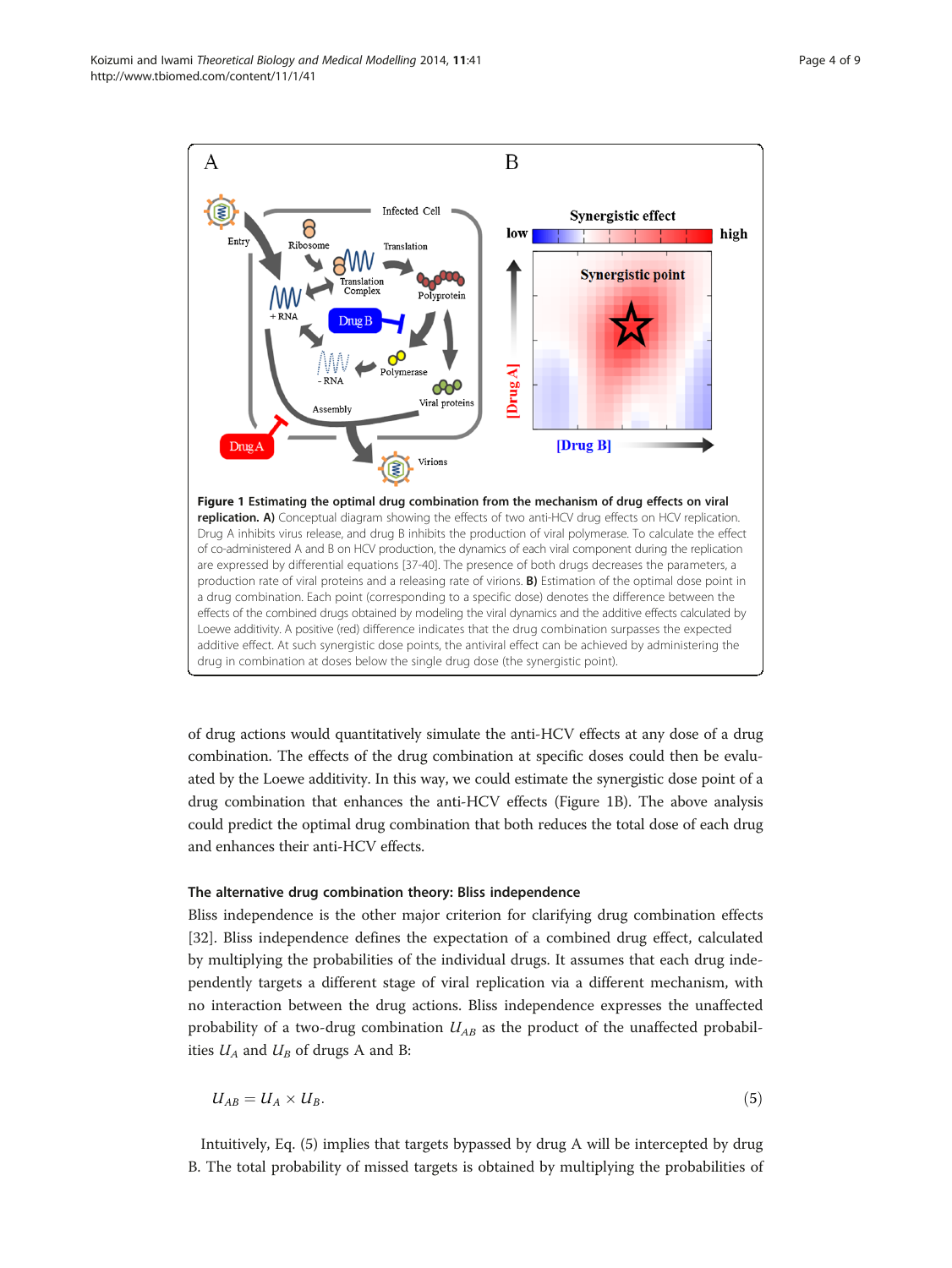<span id="page-3-0"></span>

of drug actions would quantitatively simulate the anti-HCV effects at any dose of a drug combination. The effects of the drug combination at specific doses could then be evaluated by the Loewe additivity. In this way, we could estimate the synergistic dose point of a drug combination that enhances the anti-HCV effects (Figure 1B). The above analysis could predict the optimal drug combination that both reduces the total dose of each drug and enhances their anti-HCV effects.

# The alternative drug combination theory: Bliss independence

Bliss independence is the other major criterion for clarifying drug combination effects [[32\]](#page-8-0). Bliss independence defines the expectation of a combined drug effect, calculated by multiplying the probabilities of the individual drugs. It assumes that each drug independently targets a different stage of viral replication via a different mechanism, with no interaction between the drug actions. Bliss independence expresses the unaffected probability of a two-drug combination  $U_{AB}$  as the product of the unaffected probabilities  $U_A$  and  $U_B$  of drugs A and B:

$$
U_{AB} = U_A \times U_B. \tag{5}
$$

Intuitively, Eq. (5) implies that targets bypassed by drug A will be intercepted by drug B. The total probability of missed targets is obtained by multiplying the probabilities of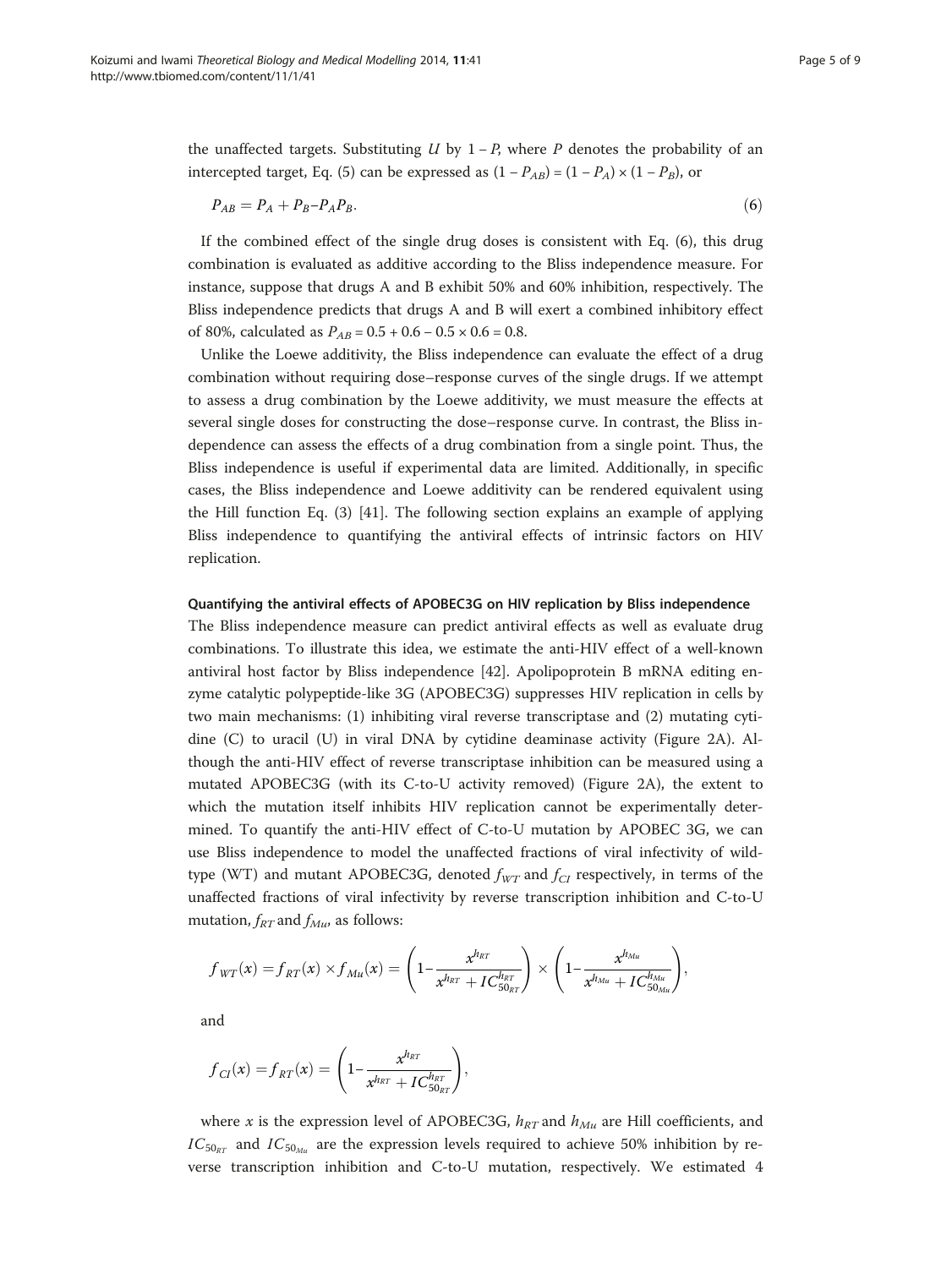the unaffected targets. Substituting U by  $1 - P$ , where P denotes the probability of an intercepted target, Eq. [\(5](#page-3-0)) can be expressed as  $(1 - P_{AB}) = (1 - P_A) \times (1 - P_B)$ , or

$$
P_{AB} = P_A + P_B - P_A P_B. \tag{6}
$$

If the combined effect of the single drug doses is consistent with Eq. (6), this drug combination is evaluated as additive according to the Bliss independence measure. For instance, suppose that drugs A and B exhibit 50% and 60% inhibition, respectively. The Bliss independence predicts that drugs A and B will exert a combined inhibitory effect of 80%, calculated as  $P_{AB} = 0.5 + 0.6 - 0.5 \times 0.6 = 0.8$ .

Unlike the Loewe additivity, the Bliss independence can evaluate the effect of a drug combination without requiring dose–response curves of the single drugs. If we attempt to assess a drug combination by the Loewe additivity, we must measure the effects at several single doses for constructing the dose–response curve. In contrast, the Bliss independence can assess the effects of a drug combination from a single point. Thus, the Bliss independence is useful if experimental data are limited. Additionally, in specific cases, the Bliss independence and Loewe additivity can be rendered equivalent using the Hill function Eq. [\(3](#page-2-0)) [[41\]](#page-8-0). The following section explains an example of applying Bliss independence to quantifying the antiviral effects of intrinsic factors on HIV replication.

# Quantifying the antiviral effects of APOBEC3G on HIV replication by Bliss independence

The Bliss independence measure can predict antiviral effects as well as evaluate drug combinations. To illustrate this idea, we estimate the anti-HIV effect of a well-known antiviral host factor by Bliss independence [[42\]](#page-8-0). Apolipoprotein B mRNA editing enzyme catalytic polypeptide-like 3G (APOBEC3G) suppresses HIV replication in cells by two main mechanisms: (1) inhibiting viral reverse transcriptase and (2) mutating cytidine (C) to uracil (U) in viral DNA by cytidine deaminase activity (Figure [2A](#page-5-0)). Although the anti-HIV effect of reverse transcriptase inhibition can be measured using a mutated APOBEC3G (with its C-to-U activity removed) (Figure [2A](#page-5-0)), the extent to which the mutation itself inhibits HIV replication cannot be experimentally determined. To quantify the anti-HIV effect of C-to-U mutation by APOBEC 3G, we can use Bliss independence to model the unaffected fractions of viral infectivity of wildtype (WT) and mutant APOBEC3G, denoted  $f_{WT}$  and  $f_{CI}$  respectively, in terms of the unaffected fractions of viral infectivity by reverse transcription inhibition and C-to-U mutation,  $f_{RT}$  and  $f_{Mu}$ , as follows:

$$
f_{WT}(x) = f_{RT}(x) \times f_{Mu}(x) = \left(1 - \frac{x^{h_{RT}}}{x^{h_{RT}} + IC_{50_{RT}}^{h_{RT}}}\right) \times \left(1 - \frac{x^{h_{Mu}}}{x^{h_{Mu}} + IC_{50_{Mu}}^{h_{Mu}}}\right),
$$

and

$$
f_{CI}(x) = f_{RT}(x) = \left(1 - \frac{x^{h_{RT}}}{x^{h_{RT}} + IC_{50_{RT}}^{h_{RT}}}\right),\,
$$

where x is the expression level of APOBEC3G,  $h_{RT}$  and  $h_{Mu}$  are Hill coefficients, and  $IC_{50_{RT}}$  and  $IC_{50_{Mu}}$  are the expression levels required to achieve 50% inhibition by reverse transcription inhibition and C-to-U mutation, respectively. We estimated 4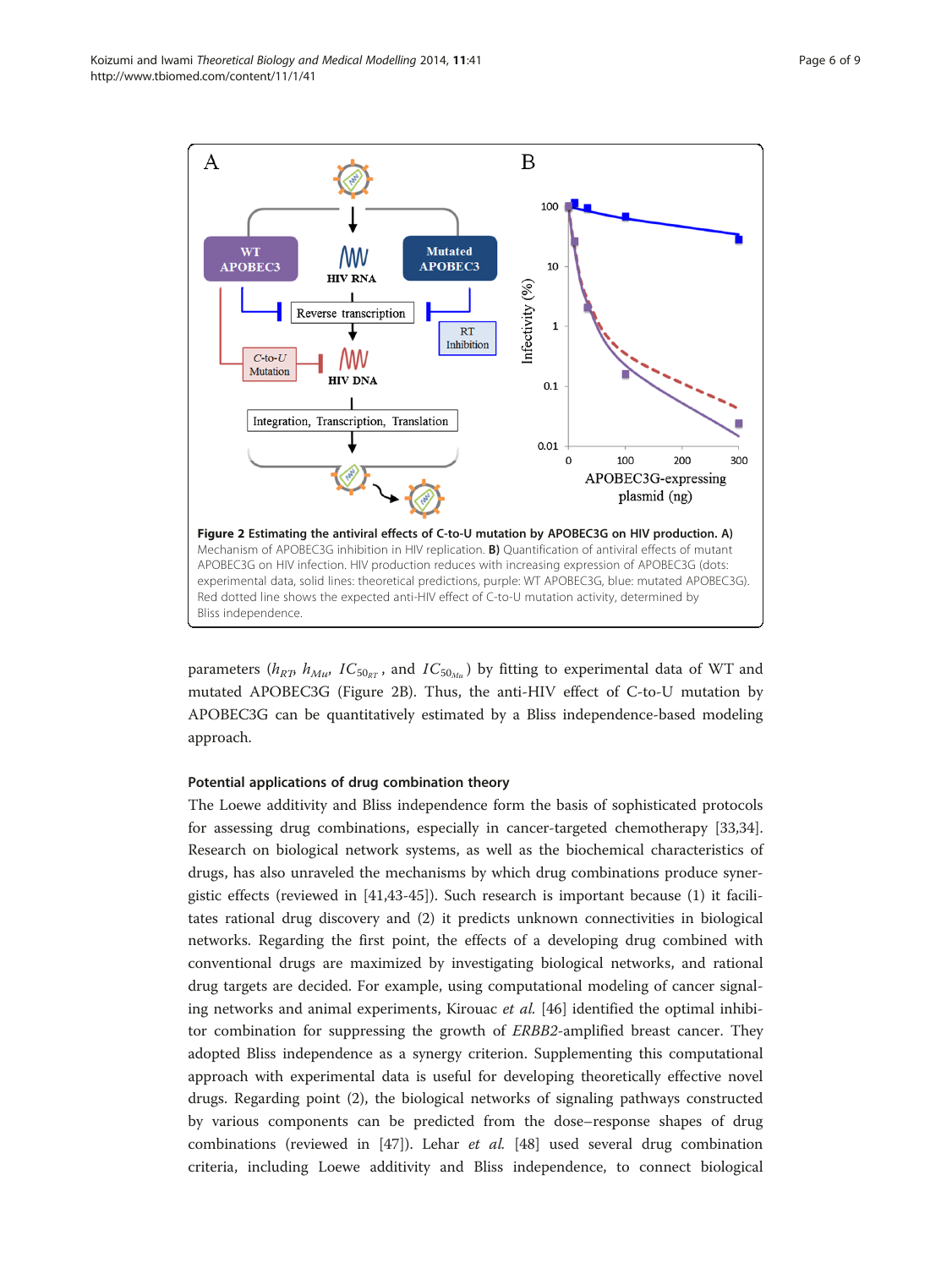<span id="page-5-0"></span>

parameters ( $h_{RT}$ ,  $h_{Mu}$ ,  $IC_{50_{RT}}$ , and  $IC_{50_{Mu}}$ ) by fitting to experimental data of WT and mutated APOBEC3G (Figure 2B). Thus, the anti-HIV effect of C-to-U mutation by APOBEC3G can be quantitatively estimated by a Bliss independence-based modeling approach.

# Potential applications of drug combination theory

The Loewe additivity and Bliss independence form the basis of sophisticated protocols for assessing drug combinations, especially in cancer-targeted chemotherapy [[33](#page-8-0),[34](#page-8-0)]. Research on biological network systems, as well as the biochemical characteristics of drugs, has also unraveled the mechanisms by which drug combinations produce synergistic effects (reviewed in [[41,43](#page-8-0)-[45\]](#page-8-0)). Such research is important because (1) it facilitates rational drug discovery and (2) it predicts unknown connectivities in biological networks. Regarding the first point, the effects of a developing drug combined with conventional drugs are maximized by investigating biological networks, and rational drug targets are decided. For example, using computational modeling of cancer signaling networks and animal experiments, Kirouac *et al.* [[46\]](#page-8-0) identified the optimal inhibitor combination for suppressing the growth of ERBB2-amplified breast cancer. They adopted Bliss independence as a synergy criterion. Supplementing this computational approach with experimental data is useful for developing theoretically effective novel drugs. Regarding point (2), the biological networks of signaling pathways constructed by various components can be predicted from the dose–response shapes of drug combinations (reviewed in [\[47](#page-8-0)]). Lehar et al. [\[48\]](#page-8-0) used several drug combination criteria, including Loewe additivity and Bliss independence, to connect biological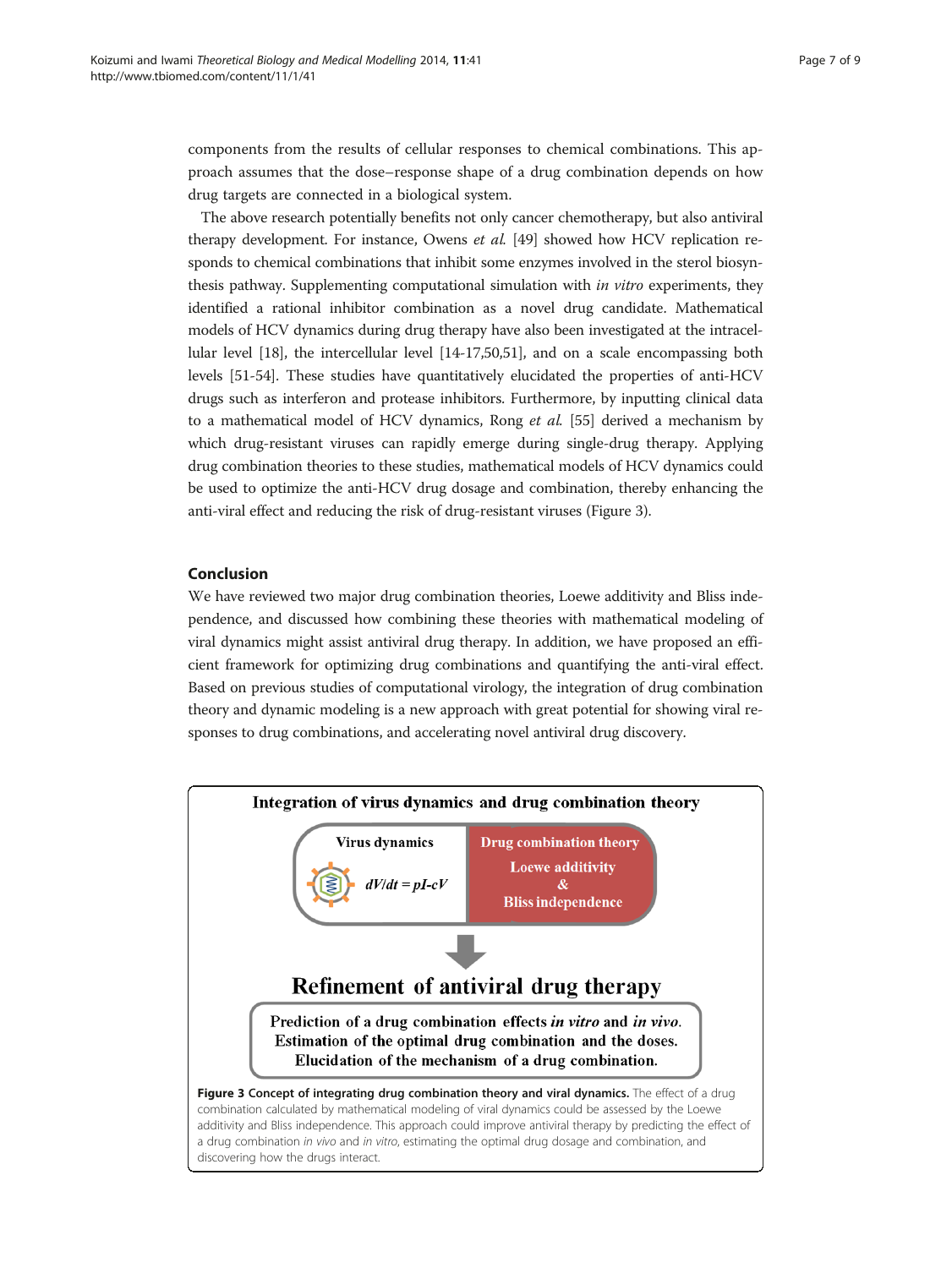components from the results of cellular responses to chemical combinations. This approach assumes that the dose–response shape of a drug combination depends on how drug targets are connected in a biological system.

The above research potentially benefits not only cancer chemotherapy, but also antiviral therapy development. For instance, Owens et al. [\[49\]](#page-8-0) showed how HCV replication responds to chemical combinations that inhibit some enzymes involved in the sterol biosynthesis pathway. Supplementing computational simulation with in vitro experiments, they identified a rational inhibitor combination as a novel drug candidate. Mathematical models of HCV dynamics during drug therapy have also been investigated at the intracellular level [\[18\]](#page-7-0), the intercellular level [\[14-17,](#page-7-0)[50,51](#page-8-0)], and on a scale encompassing both levels [[51](#page-8-0)-[54](#page-8-0)]. These studies have quantitatively elucidated the properties of anti-HCV drugs such as interferon and protease inhibitors. Furthermore, by inputting clinical data to a mathematical model of HCV dynamics, Rong et al. [[55](#page-8-0)] derived a mechanism by which drug-resistant viruses can rapidly emerge during single-drug therapy. Applying drug combination theories to these studies, mathematical models of HCV dynamics could be used to optimize the anti-HCV drug dosage and combination, thereby enhancing the anti-viral effect and reducing the risk of drug-resistant viruses (Figure 3).

# Conclusion

We have reviewed two major drug combination theories, Loewe additivity and Bliss independence, and discussed how combining these theories with mathematical modeling of viral dynamics might assist antiviral drug therapy. In addition, we have proposed an efficient framework for optimizing drug combinations and quantifying the anti-viral effect. Based on previous studies of computational virology, the integration of drug combination theory and dynamic modeling is a new approach with great potential for showing viral responses to drug combinations, and accelerating novel antiviral drug discovery.

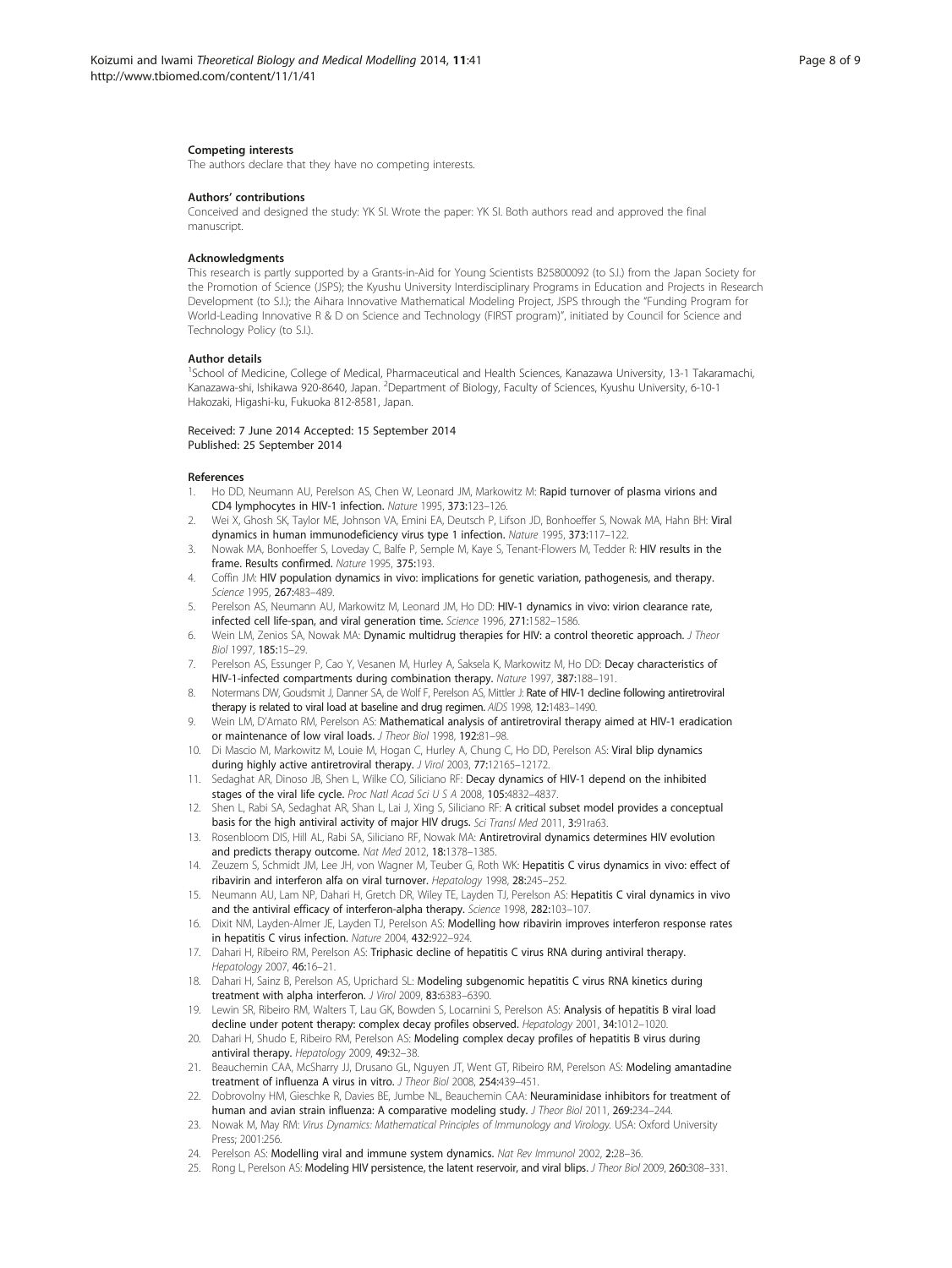#### <span id="page-7-0"></span>Competing interests

The authors declare that they have no competing interests.

### Authors' contributions

Conceived and designed the study: YK SI. Wrote the paper: YK SI. Both authors read and approved the final manuscript.

# Acknowledgments

This research is partly supported by a Grants-in-Aid for Young Scientists B25800092 (to S.I.) from the Japan Society for the Promotion of Science (JSPS); the Kyushu University Interdisciplinary Programs in Education and Projects in Research Development (to S.I.); the Aihara Innovative Mathematical Modeling Project, JSPS through the "Funding Program for World-Leading Innovative R & D on Science and Technology (FIRST program)", initiated by Council for Science and Technology Policy (to S.I.).

#### Author details

1 School of Medicine, College of Medical, Pharmaceutical and Health Sciences, Kanazawa University, 13-1 Takaramachi, Kanazawa-shi, Ishikawa 920-8640, Japan. <sup>2</sup>Department of Biology, Faculty of Sciences, Kyushu University, 6-10-1 Hakozaki, Higashi-ku, Fukuoka 812-8581, Japan.

### Received: 7 June 2014 Accepted: 15 September 2014 Published: 25 September 2014

#### References

- 1. Ho DD, Neumann AU, Perelson AS, Chen W, Leonard JM, Markowitz M: Rapid turnover of plasma virions and CD4 lymphocytes in HIV-1 infection. Nature 1995, 373:123–126.
- 2. Wei X, Ghosh SK, Taylor ME, Johnson VA, Emini EA, Deutsch P, Lifson JD, Bonhoeffer S, Nowak MA, Hahn BH: Viral dynamics in human immunodeficiency virus type 1 infection. Nature 1995, 373:117–122.
- Nowak MA, Bonhoeffer S, Loveday C, Balfe P, Semple M, Kaye S, Tenant-Flowers M, Tedder R: HIV results in the frame. Results confirmed. Nature 1995, 375:193.
- 4. Coffin JM: HIV population dynamics in vivo: implications for genetic variation, pathogenesis, and therapy. Science 1995, 267:483–489.
- 5. Perelson AS, Neumann AU, Markowitz M, Leonard JM, Ho DD: HIV-1 dynamics in vivo: virion clearance rate, infected cell life-span, and viral generation time. Science 1996, 271:1582–1586.
- 6. Wein LM, Zenios SA, Nowak MA: Dynamic multidrug therapies for HIV: a control theoretic approach. J Theor Biol 1997, 185:15–29.
- 7. Perelson AS, Essunger P, Cao Y, Vesanen M, Hurley A, Saksela K, Markowitz M, Ho DD: Decay characteristics of HIV-1-infected compartments during combination therapy. Nature 1997, 387:188–191.
- 8. Notermans DW, Goudsmit J, Danner SA, de Wolf F, Perelson AS, Mittler J: Rate of HIV-1 decline following antiretroviral therapy is related to viral load at baseline and drug regimen. AIDS 1998, 12:1483-1490.
- 9. Wein LM, D'Amato RM, Perelson AS: Mathematical analysis of antiretroviral therapy aimed at HIV-1 eradication or maintenance of low viral loads. J Theor Biol 1998, 192:81–98.
- 10. Di Mascio M, Markowitz M, Louie M, Hogan C, Hurley A, Chung C, Ho DD, Perelson AS: Viral blip dynamics during highly active antiretroviral therapy. J Virol 2003, 77:12165-12172.
- 11. Sedaghat AR, Dinoso JB, Shen L, Wilke CO, Siliciano RF: Decay dynamics of HIV-1 depend on the inhibited stages of the viral life cycle. Proc Natl Acad Sci U S A 2008, 105:4832-4837.
- 12. Shen L, Rabi SA, Sedaghat AR, Shan L, Lai J, Xing S, Siliciano RF: A critical subset model provides a conceptual basis for the high antiviral activity of major HIV drugs. Sci Transl Med 2011, 3:91ra63.
- 13. Rosenbloom DIS, Hill AL, Rabi SA, Siliciano RF, Nowak MA: Antiretroviral dynamics determines HIV evolution and predicts therapy outcome. Nat Med 2012, 18:1378–1385.
- 14. Zeuzem S, Schmidt JM, Lee JH, von Wagner M, Teuber G, Roth WK: Hepatitis C virus dynamics in vivo: effect of ribavirin and interferon alfa on viral turnover. Hepatology 1998, 28:245–252.
- 15. Neumann AU, Lam NP, Dahari H, Gretch DR, Wiley TE, Layden TJ, Perelson AS: Hepatitis C viral dynamics in vivo and the antiviral efficacy of interferon-alpha therapy. Science 1998, 282:103-107
- 16. Dixit NM, Layden-Almer JE, Layden TJ, Perelson AS: Modelling how ribavirin improves interferon response rates in hepatitis C virus infection. Nature 2004, 432:922–924.
- 17. Dahari H, Ribeiro RM, Perelson AS: Triphasic decline of hepatitis C virus RNA during antiviral therapy. Hepatology 2007, 46:16–21.
- 18. Dahari H, Sainz B, Perelson AS, Uprichard SL: Modeling subgenomic hepatitis C virus RNA kinetics during treatment with alpha interferon. J Virol 2009, 83:6383–6390.
- 19. Lewin SR, Ribeiro RM, Walters T, Lau GK, Bowden S, Locarnini S, Perelson AS: Analysis of hepatitis B viral load decline under potent therapy: complex decay profiles observed. Hepatology 2001, 34:1012-1020.
- 20. Dahari H, Shudo E, Ribeiro RM, Perelson AS: Modeling complex decay profiles of hepatitis B virus during antiviral therapy. Hepatology 2009, 49:32–38.
- 21. Beauchemin CAA, McSharry JJ, Drusano GL, Nguyen JT, Went GT, Ribeiro RM, Perelson AS: Modeling amantadine treatment of influenza A virus in vitro. J Theor Biol 2008, 254:439–451.
- 22. Dobrovolny HM, Gieschke R, Davies BE, Jumbe NL, Beauchemin CAA: Neuraminidase inhibitors for treatment of human and avian strain influenza: A comparative modeling study. J Theor Biol 2011, 269:234-244.
- 23. Nowak M, May RM: Virus Dynamics: Mathematical Principles of Immunology and Virology. USA: Oxford University Press; 2001:256.
- 24. Perelson AS: Modelling viral and immune system dynamics. Nat Rev Immunol 2002, 2:28-36.
- 25. Rong L, Perelson AS: Modeling HIV persistence, the latent reservoir, and viral blips. J Theor Biol 2009, 260:308-331.